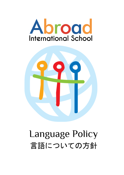



# Language Policy 言語についての方針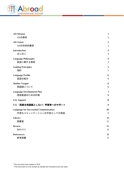

| <b>AIS Mission</b>                           | 3                       |
|----------------------------------------------|-------------------------|
| AISの使命                                       | 3                       |
| <b>AIS Vision</b>                            | 3                       |
| AISの将来的展望                                    | 3                       |
| <b>Introduction</b>                          | 3                       |
| はじめに                                         | $\overline{4}$          |
| <b>Language Philosophy</b>                   | $\overline{\mathbf{4}}$ |
| 言語に関する原則                                     | $\overline{4}$          |
| <b>Guiding Principles</b>                    | 5                       |
| 指針                                           | 5                       |
| <b>Language Profile</b>                      | 6                       |
| 言語の紹介                                        | 6                       |
| <b>Mother Tongue</b>                         | 6                       |
| 母国語について                                      | 6                       |
| Language Development Plan                    | 7                       |
| 言語発達のための計画                                   | 8                       |
| <b>EAL Support</b>                           | 8                       |
| EAL (英語を母国語としない) 学習者へのサポート                   | 9                       |
| <b>Language for Successful Communication</b> | 10                      |
| 円滑なコミュニケーションの手段としての言語                        | 11                      |
| <b>Library</b>                               | 12                      |
| 図書室                                          | 12                      |
| <b>Review</b>                                | 13                      |
| おわりに                                         | 13                      |
| <b>References</b>                            | 13                      |
| 参考図書                                         | 13                      |

\*This document was created in 2018 \*\*This document is to be revised as needed and reviewed every two years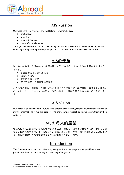

## AIS Mission

<span id="page-2-0"></span>Our mission is to develop confident lifelong learners who are;

- multilingual,
- inquiring,
- open-minded and
- respectful of all cultures.

<span id="page-2-1"></span>Through balanced reflection, and risk taking, our learners will be able to communicate, develop knowledge and pass on positive principles for the benefit of both themselves and others.

## AISの使命

私たちの使命は、自信を持って生涯を通じて学び続ける、以下のような学習者を育成するこ とです。

- 多言語を使うことが出来る
- 探究心を持つ
- 開かれた心を持つ
- すべての文化を尊重する学習者

<span id="page-2-2"></span>バランスの取れた振り返りと挑戦する心を持つことを通じて、学習者は、自分自身と他の人 のためにコミュニケーションを取り、知識を増やし、明確な信念を持ち続けることができま す。

#### AIS Vision

<span id="page-2-3"></span>Our vision is to help shape the future for a better world by using leading educational practices to nurture internationally minded learners who show caring, respect, and compassion through their actions.

## AISの将来的展望

<span id="page-2-4"></span>私たちの将来的展望は、優れた教育を行うことを通じて、より良い世界の未来を形作ること です。優れた教育とは、周りに優しく、敬意を表し、思いやりを示す行動をとることのでき る、国際的な視野を持つ学習者を育てる教育のことを示します。

## Introduction

This document describes our philosophy and practice on language learning and how these principles influence our planning and teaching of language.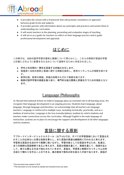

- It provides the school with a framework that will promote consistency in approach between grade levels and subjects.
- It provides parents with information about our principles and practices and assists them in understanding our curriculum.
- It will assist teachers in the planning, presenting and evaluation stages of teaching.
- <span id="page-3-0"></span>● It will serve as a guide for teachers to reflect on their language practice and to guide professional development and appraisal.

# はじめに

この冊子は、当校の語学学習の原則と実践について明らかにし、これらの原則が言語の学習 と計画にどのように影響を与えるかについて説明するために作成されました。

- 学年と科目間の一貫性を促進する枠組みを示します。
- 保護者に当校の原則と実践に関する情報を提供し、教育カリキュラムの理解を助けま す。
- 教育計画、教育の実践、評価の段階それぞれで教師を助けます。
- <span id="page-3-1"></span>● 教師が語学学習の実践を振り返り、専門的な能力開発と評価を行うための指針となり ます。

## Language Philosophy

At Abroad International School we believe language plays an essential role in all learning areas. We recognize that language development is an ongoing process. Students learn language, about language, through language and therefore, we acknowledge that all teachers are language teachers. Language is reinforced in multiple ways, including technically, practically, and as a medium of instruction. Language is the true transdisciplinary medium by which students and teachers make connections across the curriculum. Although English is the main language of instruction, systems are in place to encourage the support and development of all other languages used by students.

## 言語に関する原則

<span id="page-3-2"></span>アブロードインターナショナルスクール(以下AIS)では、すべての学習領域において言語は欠 かすことの出来ない主要な役割を果たし、また言語の発達は継続的に行われると考えます。 学習者は言語を生活の中で実際に使いながら、学習内容としての言語を学ぶため、私達は、 全ての教師は言語教師であると考えます。言語は理論を通じて、実践を通じて、指導方法と して、様々な異なる方法で強化されていきます。言語は、学習者と教師がカリキュラムの枠 を超えて関わりを作ることのできる、真の意味で教科の枠を超えた手段であります。英語が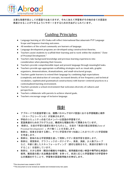

<span id="page-4-0"></span>主要な指導手段としての言語ではありますが、それに加えて学習者がその他の全ての言語を 発達させることができるようにサポートをするための方法がとられています。

## **Guiding Principles**

- Language learning at AIS-Osaka will reflect International Baccalaureate PYP Language Scope and Sequence learning outcomes.
- All members of the school community are learners of language.
- Language development programs are developed using constructivist theories.
- Teachers assist students to scaffold their learning and to work within the students' "Zone of Proximal Development."
- Teachers take background knowledge and previous learning experiences into consideration when planning their lessons.
- Teachers provide comprehensible input and present language through meaningful tasks.
- Teachers provide age-appropriate scaffolding strategies such as visual aids, graphic organizers, demonstrations, dramatizations, and small-structured groups.
- Teachers guide learners to extend their language by combining high expectations (complexity and abstraction of concepts, increased density of low frequency and technical vocabulary, sophisticated grammatical constructions) with learner-centered practices in a contextualized learning environment.
- Teachers promote a school environment that welcomes diversity of cultures and perspectives.
- Teachers collaborate with parents to achieve shared goals.
- <span id="page-4-1"></span>Teachers encourage usage of inclusive language.

指針

- アブロードでの言語学習には、国際バカロレアのPYP言語における学習範囲と順序 (スコープとシーケンス)が反映されます。
- 学校のコミュニティの全てのメンバーは言語の学習者です。
- 言語発達のためのプログラムは、構成的な理論を用いて開発されています。
- 教師は、生徒の学習の基礎を確かなものとし、生徒の「発達の最近接領域(Zone of Proximal Development)」内で働くことを支援します。
- 教師は、授業を計画する際に、すでに学習者が持つ知識とこれまでに行った学習経験 を考慮します。
- 教師は、意味のある学習課題を通して理解しやすい言語学習を提供します。
- 教師は、視覚教材、グラフィックオーガナイザー、発表、演劇、少人数グループ など、年齢に適したスキャフォールディング(適切な援助を与え、発達の足場作りを すること)を提供しています。
- 教師は、大きな期待(概念の複雑化や抽象化、使用頻度の低い単語や専門的な単語の 使用、難易度の高い文法構造の習得)を持って、状況に応じた学習環境での学習者中 心の実践を行うことで、学習者の言語使用能力を伸ばします。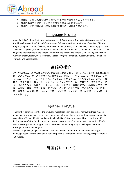

- 教師は、多様な文化や視点を受け入れる学校の環境を率先して作ります。
- 教師は保護者と協力して、共有された目標達成を目指します。
- <span id="page-5-0"></span>● 教師は、包括的な言語(当校においては英語)の使用を勧めます。

## Language Profile

As of April 2017, the AIS student body consists of 190 students. The nationalities represented in the Abroad International School-Osaka are as follows: American, Australian, Canadian, Chinese, English, Filipino, French, German, Indonesian, Indian, Italian, Irish, Japanese, Korean, Kyrgyz, New Zealander, Nigerian, Romanian, Saudi-Arabian, Pakistani, Taiwanese, Turkish, and Vietnamese. The linguistic backgrounds in the school community are as follows: Arabic, Chinese, English, French, German, Indian, Italian, Irish, Japanese, Korean, Kyrgyz, Romanian, Russian, Filipino, Taiwanese, Turkish, and Vietnamese.

## 言語の紹介

<span id="page-5-1"></span>2017年4月現在、AISの生徒は190名の学習者から構成されています。AISに在籍する生徒の国籍 は、アメリカ人、オーストラリア人、カナダ人、中国人、イギリス人、フィリピン人、フラ ンス人、ドイツ人、インドネシア人、インド人、イタリア人、アイルランド人、日本人、韓 国人、キルギス人、ニュージーランド人、ナイジェリア人、ルーマニア人、サウジアラビア 人、パキスタン人、台湾人、トルコ人、ベトナム人です。学校にて使われる言語はアラビア 語、中国語、英語、フランス語、ドイツ語、インド、イタリア語、アイルランド語、日本 語、韓国語、キルギス語、ルーマニア語、ロシア語、フィリピン語、台湾語、トルコ語、ベ トナム語です。

## **Mother Tongue**

<span id="page-5-2"></span>The mother tongue describes the language most frequently spoken at home, but there may be more than one language a child uses comfortably at home. We believe mother tongue support is crucial for affirming identity and emotional stability of students. In our library, we try to offer fiction and nonfiction books in various languages represented in our school community. We also welcome our parents to support the provision of mother tongue by providing opportunities throughout the academic year.

<span id="page-5-3"></span>Mother tongue languages are used to facilitate the development of an additional language. Language resources are provided whenever possible for mother tongue languages represented at AIS-Osaka.

## 母国語について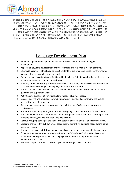

母国語とは自宅で最も頻繁に話される言語を表していますが、子供が家庭で使用する言語は 複数ある場合もあります。私たちは、母国語のサポートは、学生のアイデンティティを強く し、感情の安定を図るために重要であると考えています。当校の図書室では、学校のコミュ ニティで用いられる様々な言語の小説やノンフィクションの書籍の提供を計っています。ま た、年間を通じて保護者が学校にてそれぞれの母国語を披露する機会を持つことを推奨して います。母国語を用いることは、第二言語の能力向上を促進します。当校では母国語のサ ポートのために必要な言語資料の提供を可能な限り行っています。

## Language Development Plan

- <span id="page-6-0"></span>● PYP Language outcomes guide instruction and assessment of student language development.
- Aspects of language development are incorporated into AIS-Osaka weekly planning.
- Language learning is structured to assist students to experience success so differentiated learning strategies applied when needed.
- An interactive class structure is facilitated by teachers. Activities and tasks are designed to give a wide range of communication forms.
- A variety of hard/soft copy of books, references, resources, and materials are available for classroom use according to the language abilities of the students.
- The EAL teacher collaborates with classroom teachers to help learners who need extra guidance and support in English.
- Activities are designed at various levels to meet all students' needs.
- Success criteria and language learning outcomes are designed according to the overall level of the target learner body.
- Self and peer assessment is encouraged through the use of rubrics and one-on-one conferences.
- Students are encouraged to get involved in designing assessment criteria for their work.
- The summative task and type/amount of support given are differentiated according to the students' language ability and academic background..
- Various grouping strategies are utilized to cater to different abilities and learning styles.
- Students are placed in pull out EAL classes that will suit their language needs during some language classes.
- Students can move to full-time mainstream classes once their language abilities develop.
- Dynamic language grouping (based on students' abilities) is used within the classroom in order to develop specific aspects of language and to meet the requirements and expectations of a given task.
- Additional support for EAL learners is provided through in-class support.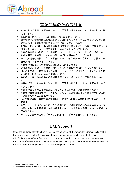

## 言語発達のための計画

- <span id="page-7-0"></span>● PYPにおける言語の学習目標に応じて、学習者の言語発達のための指導と評価は設 定されます。
- 言語発達の要点は、AISの週間計画に組み込まれています。
- 語学学習は、学習者が成功体験を得ることが出来るように構成されているので、必 要があれば学習者の個別能力に応じた学習方法がとられます。
- 教師は、相互に作用しあう学習環境を作ります。学習者が行う活動や課題作成は、多 様なコミュニケーションの方法を用いるように計画されています。
- 学習者の言語能力に応じて、学習者はハードコピーやソフトコピーの、多様な本 や参考図書、参考資料、その他の資料や活動材料を使うことが出来ます。
- EAL(英語を母国語としない学習者のための)教師は担任と協力して、学習者に必 要な英語のサポートを行います。
- 学習者の活動は、それぞれの必要に応じて計画されます。
- 評価基準と言語の学習目標は、対象とする学習者の能力に応じて設定されます。
- 自己の振り返り、他者による評価は、ルーブリック(評価指表)を用いて、また個 人面談を用いて行われるよう推奨されます。
- 学習者は、自分の作品のための評価基準の作成に参加することが勧められていま す。
- 総括的評価と、サポートの形式・量は、学習者の能力とこれまでの学習背景に応じ て異なります。
- 学習者の異なる能力と学習方法に応じて、多様なグループ活動が行われます。
- 学習者の言語能力とサポートの必要に応じて、普通学級の言語学習の時間にEALク ラスに参加することがあります。
- EALの学習者は、言語能力が発達したと評価されれば普通学級に移行することが出 来ます。
- 教室では、(生徒の能力に応じた)必要に応じて常時変更のある言語学習グループ を用いて特定の言語側面の発達を促すとともに、与えられた課題のための学習者の必 要を満たします。
- <span id="page-7-1"></span>● EALの学習者への追加サポートは、授業内のサポートを通じて行われます。

#### EAL Support

Since the language of instruction is English, the objective of the support programme is to enable the inclusion of EAL (English as an Additional Language) students in the mainstream class. AIS-Osaka works with the EAL teacher in cooperation with the homeroom teachers to enable the EAL students' transition into the mainstream class. This support is continued until the student has the skills and knowledge needed to access the regular curriculum.

<sup>\*\*</sup>This document is to be revised as needed and reviewed every two years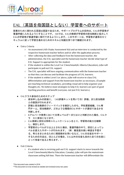

# <span id="page-8-0"></span>EAL(英語を母国語としない)学習者へのサポート

授業のために使われる言語は英語であるため、サポートプログラムの目的は、EALの学習者が 普通学級に入れるようにすることです。 AISでは、EALの教師が学習者の担当教師と協力して EALの学習者が普通学級に移行できるようにします。このサポートは、学習者が通常のカリ キュラムに従って学習を進めるためのスキルと知識を持つまで継続されます。

- **Entry Criteria** 
	- An assessment (AIS-Osaka Assessment Kit) and an interview is conducted by the respective homeroom teacher before and/or after the application process
	- After collecting the data and feedback from the homeroom teacher, the administration, the EAL specialist and the homeroom teacher decide what type of EAL Support is appropriate for the student.
	- $\circ$  If the student is within the Level 1 or 2 benchmark(K-Alberta Education), (s)he will participate in pull out EAL support.
	- The EAL specialist will have ongoing communication with the homeroom teacher so that they can discuss and facilitate the progress of EAL learners.
	- If the student is within Level 3 or above, (s)he will receive in-class EAL differentiation and support from the homeroom teacher as necessary. (Example pre-teaching technical vocabulary, providing visual aid to help organize your thoughts etc. We believe most strategies to help EAL learners are part of good teaching practices and benefit everyone, not just EAL learners.)
- EALクラス参加のためのステップ
	- 参加申し込みの前後に、(AIS評価キットを用いての)評価、また担当教師 との面談が行われます。
	- 評価と担当教師のフィードバックを検討したのち、学校運営組織、EAL専 門チーム、担当教師が、どのような種類のEALサポートが適切であるかを 判断します。
	- Kアルバータ教育において水準レベルが1または2と判断された場合、EALク ラ スに参加になります。
	- EAL教師と担任は常時コミュニケーションをとり、学習者の能力を観察 し、検討します。
	- 学習者のレベルが3以上とされた場合、普通学級の中で、担任によってレ ベルを変えたサポートが行われます。(例:難易度の高い単語を予習す る、考えをまとめるために視覚教材を用いるなど。EALの生徒をサポート するための方法は、ほとんどの場合、EAL以外の生徒も含めた全ての生徒に とって有益であると考えます。)
- **Exit Criteria** 
	- If a student who is receiving pull-out EAL support starts to move towards the Level 3 benchmark(Alberta Education, Canada), (s)he will join the mainstream classroom setting full time. There the homeroom teacher will differentiate the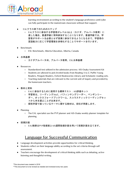

learning environment according to the student's language proficiency until (s)he can fully participate in the mainstream classroom without that support.

- EALクラス終了のためのステップ
	- EALクラスに参加する学習者がレベル3以上(カナダ、アルバータ教育)に 達した場合、普通学級に常時参加することになります。普通学級では、学 習者がサポートを必要とせず授業に参加できるようになるまで、学習者の 言語能力に応じて学習環境を多様化することでサポートを行います。
- **Benchmark** 
	- ESL Benchmark, Alberta Education, Alberta, Canada
- 水準基標
	- カナダアルバータ州、アルバータ教育、ESL水準基標
- **Resources** 
	- Standardized test utilized in the admission process: AIS-Osaka Assessment Kit
	- Students are allowed to pick leveled books from Reading A to Z, Puffin Young Readers, Penguin Readers, Oxford Bookworms Library and Scholastic reading sets.
	- Teaching materials that are relevant to the current unit of inquiry and provided by the homeroom teachers.
- 教材と資料
	- EALに参加するために使用する標準テスト:AIS評価キット
	- 学習者は、リーディングAtoZ、パフィンヤングリーダー、ペンギンリー ダー、オックスフォードブックワーム、スコラスティックリーディングセッ トから本を選ぶことが出来ます。
	- 探究学習で扱っているテーマに関する教材は、担任が用意します。
- **Planning** 
	- The EAL specialist use the PYP planner and AIS-Osaka weekly planner template for planning.
- <span id="page-9-0"></span>授業計画
	- EAL教師はPYP指導案とAIS週間指導計画を用いて授業計画を立てます。

## Language for Successful Communication

- Language development activities provide opportunities for critical thinking.
- Students reflect on their language ability according to the set criteria through self assessment.
- Teachers encourage the development of critical thinking skills such as debating, active listening and thoughtful writing.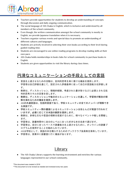

- Teachers provide opportunities for students to develop an understanding of concepts through discussion and daily ongoing communication.
- The social language of AIS-Osaka is English, which is inclusive and understood by all members of the school community.
- Even though, the written communication amongst the school community is mostly in English, we provide Japanese translation when it is necessary.
- Teachers organize various events and special days to promote an understanding of different cultures and languages.
- Students are actively involved in selecting their own books according to their level during guided reading time.
- Students are encouraged to use online reading programs to develop reading skills at their own pace.
- AIS-Osaka holds memberships in book clubs for school community to purchase books in English.
- Students are given opportunities to visit the library during class times.

# <span id="page-10-0"></span>円滑なコミュニケーションの手段としての言語

- 言語を上達させるための活動は、批判的思考を身に着ける機会を提供します。 学習者は自己評価を通じて、設定された評価基準に従って自己の言語能力を評価しま す。
- 教師は、ディスカッション、積極的傾聴、考慮された書き取りなどに必要とされる批 判的思考スキルの定着を促します。
- 教師は、ディスカッションや毎日のコミュニケーションを通して、学習者が概念の理 解を深めるための機会を提供します。
- AISの共通言語は、包括的言語であり、学校コミュニティの全てのメンバーが理解でき る英語です。
- 学校コミュニティー間の書面によるコミュニケーションはほとんどが英語で行われて いますが、必要に応じて日本語の翻訳を提供します。
- 教師は、多様な文化や言語の理解を促進するために、様々なイベントや催しを開催し ます。
- 学習者は、読書時間中に自分のレベルに合った好きな本を自身で選びます。
- 学習者は、自分に合ったペースで読書能力を上達させるために、オンラインの読書プ ログラムを使用することを勧められています。
- AISは学校として、英語の本を購入するためのブッククラブ会員制を保有しています。
- <span id="page-10-1"></span>● 学習者は、授業中に図書室に行く機会があります。

## Library

● The AIS-Osaka Library supports the learning environment and enriches the various languages represented in our school community.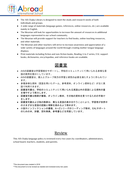

- The AIS-Osaka Library is designed to meet the study and research needs of both individuals and groups.
- A wide range of materials (language games, references, online resources, etc.) are available mainly in English.
- The librarian will look for opportunities to increase the amount of resources in additional languages represented in our school community.
- The librarian will provide support for teachers to find books, online teaching resources, and other materials.
- The librarian and other teachers will strive to increase awareness and appreciation of a wide variety of languages around the world through creating mother tongue language displays.
- <span id="page-11-0"></span>● Print materials including fiction and non-fiction books, Reading A to Z series, EAL support books, dictionaries, encyclopedias, and reference books are available.

図書室

- AISの図書室は学習環境をサポートし、学校のコミュニティにて用いられる多様な言 語の使用を豊かにしています。
- AISの図書室は、個人とグループ両方の学習と研究の必要を満たすように作られてい ます。
- 多種多様な資料(言語を用いたゲーム、参考資料、オンライン資料など)が主に英 語で利用できます。
- 図書室司書は、学校のコミュニティにて用いられる英語以外の言語による資料の量 を増やすよう努力します。
- 図書室司書は教師が書籍、オンライン教材、その他の資料を見つけるための手助け をします。
- 図書室司書および他の教師は、異なる言語の表示を行うことにより、学習者が世界中 のさまざまな言語の認識と理解を高めるよう努めます。
- 小説やノンフィクションの書籍、A〜Zシリーズのリーディング教材、EALサポート のための本、辞書、百科事典、参考書などを用意しています。

#### Review

<span id="page-11-1"></span>This AIS-Osaka language policy is reviewed every two years by coordinators, administrators, school board, teachers, students, and parents.

<sup>\*\*</sup>This document is to be revised as needed and reviewed every two years